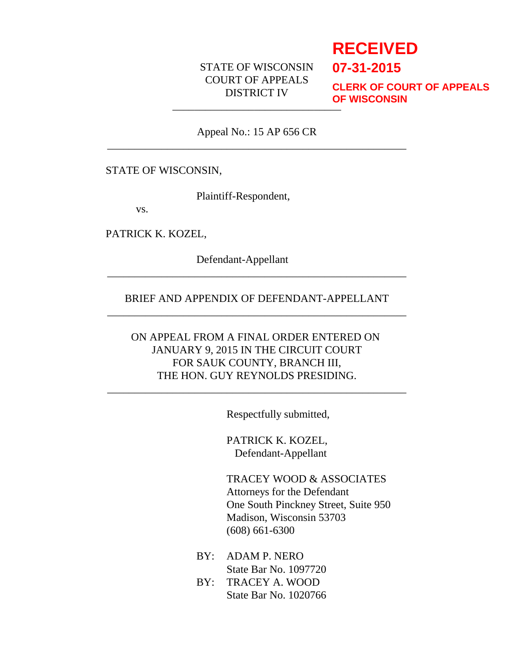# STATE OF WISCONSIN COURT OF APPEALS DISTRICT IV

# **RECEIVED**

**07-31-2015**

\_\_\_\_\_\_\_\_\_\_\_\_\_\_\_\_\_\_\_\_\_\_\_\_\_\_\_\_\_\_\_ **CLERK OF COURT OF APPEALS OF WISCONSIN**

Appeal No.: 15 AP 656 CR \_\_\_\_\_\_\_\_\_\_\_\_\_\_\_\_\_\_\_\_\_\_\_\_\_\_\_\_\_\_\_\_\_\_\_\_\_\_\_\_\_\_\_\_\_\_\_\_\_\_\_\_\_\_\_

### STATE OF WISCONSIN,

Plaintiff-Respondent,

vs.

PATRICK K. KOZEL,

Defendant-Appellant

# BRIEF AND APPENDIX OF DEFENDANT-APPELLANT \_\_\_\_\_\_\_\_\_\_\_\_\_\_\_\_\_\_\_\_\_\_\_\_\_\_\_\_\_\_\_\_\_\_\_\_\_\_\_\_\_\_\_\_\_\_\_\_\_\_\_\_\_\_\_

\_\_\_\_\_\_\_\_\_\_\_\_\_\_\_\_\_\_\_\_\_\_\_\_\_\_\_\_\_\_\_\_\_\_\_\_\_\_\_\_\_\_\_\_\_\_\_\_\_\_\_\_\_\_\_

# ON APPEAL FROM A FINAL ORDER ENTERED ON JANUARY 9, 2015 IN THE CIRCUIT COURT FOR SAUK COUNTY, BRANCH III, THE HON. GUY REYNOLDS PRESIDING.

\_\_\_\_\_\_\_\_\_\_\_\_\_\_\_\_\_\_\_\_\_\_\_\_\_\_\_\_\_\_\_\_\_\_\_\_\_\_\_\_\_\_\_\_\_\_\_\_\_\_\_\_\_\_\_

Respectfully submitted,

PATRICK K. KOZEL, Defendant-Appellant

TRACEY WOOD & ASSOCIATES Attorneys for the Defendant One South Pinckney Street, Suite 950 Madison, Wisconsin 53703 (608) 661-6300

- BY: ADAM P. NERO State Bar No. 1097720
- BY: TRACEY A. WOOD State Bar No. 1020766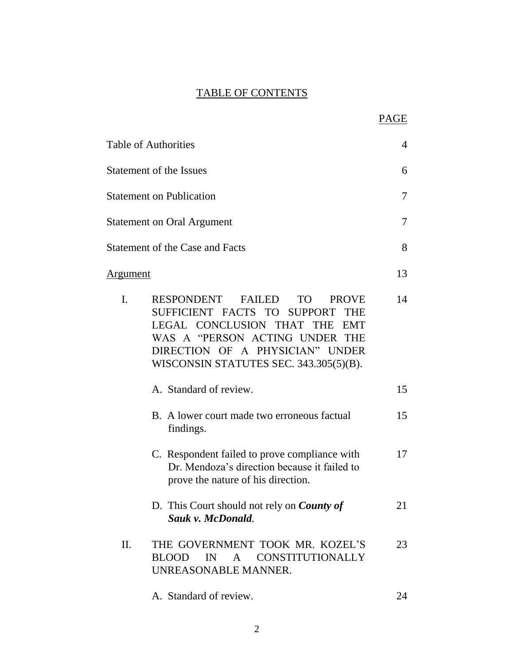# TABLE OF CONTENTS

|                 |                                                                                                                                                                                                                                                  | PAGE |
|-----------------|--------------------------------------------------------------------------------------------------------------------------------------------------------------------------------------------------------------------------------------------------|------|
|                 | Table of Authorities                                                                                                                                                                                                                             | 4    |
|                 | <b>Statement of the Issues</b>                                                                                                                                                                                                                   | 6    |
|                 | <b>Statement on Publication</b>                                                                                                                                                                                                                  | 7    |
|                 | <b>Statement on Oral Argument</b>                                                                                                                                                                                                                | 7    |
|                 | <b>Statement of the Case and Facts</b>                                                                                                                                                                                                           | 8    |
| <u>Argument</u> |                                                                                                                                                                                                                                                  | 13   |
| $\mathbf{I}$ .  | RESPONDENT FAILED<br>TO T<br><b>PROVE</b><br>SUFFICIENT FACTS TO SUPPORT<br><b>THE</b><br>LEGAL CONCLUSION THAT THE<br><b>EMT</b><br>WAS A "PERSON ACTING UNDER THE<br>DIRECTION OF A PHYSICIAN" UNDER<br>WISCONSIN STATUTES SEC. 343.305(5)(B). | 14   |
|                 | A. Standard of review.                                                                                                                                                                                                                           | 15   |
|                 | B. A lower court made two erroneous factual<br>findings.                                                                                                                                                                                         | 15   |
|                 | C. Respondent failed to prove compliance with<br>Dr. Mendoza's direction because it failed to<br>prove the nature of his direction.                                                                                                              | 17   |
|                 | D. This Court should not rely on <i>County of</i><br>Sauk v. McDonald.                                                                                                                                                                           | 21   |
| Π.              | THE GOVERNMENT TOOK MR. KOZEL'S<br>BLOOD IN A CONSTITUTIONALLY<br>UNREASONABLE MANNER.                                                                                                                                                           | 23   |
|                 | A. Standard of review.                                                                                                                                                                                                                           | 24   |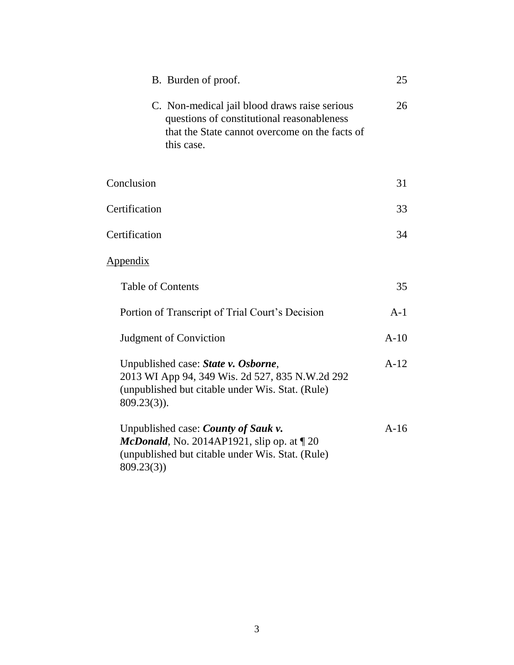| B. Burden of proof.                                                                                                                                           | 25     |
|---------------------------------------------------------------------------------------------------------------------------------------------------------------|--------|
| C. Non-medical jail blood draws raise serious<br>questions of constitutional reasonableness<br>that the State cannot overcome on the facts of<br>this case.   | 26     |
| Conclusion                                                                                                                                                    | 31     |
| Certification                                                                                                                                                 |        |
| Certification                                                                                                                                                 | 34     |
| <u>Appendix</u>                                                                                                                                               |        |
| <b>Table of Contents</b>                                                                                                                                      | 35     |
| Portion of Transcript of Trial Court's Decision                                                                                                               | $A-1$  |
| Judgment of Conviction                                                                                                                                        | $A-10$ |
| Unpublished case: State v. Osborne,<br>2013 WI App 94, 349 Wis. 2d 527, 835 N.W.2d 292<br>(unpublished but citable under Wis. Stat. (Rule)<br>$809.23(3)$ ).  | $A-12$ |
| Unpublished case: <i>County of Sauk v</i> .<br>McDonald, No. 2014AP1921, slip op. at $\P$ 20<br>(unpublished but citable under Wis. Stat. (Rule)<br>809.23(3) | $A-16$ |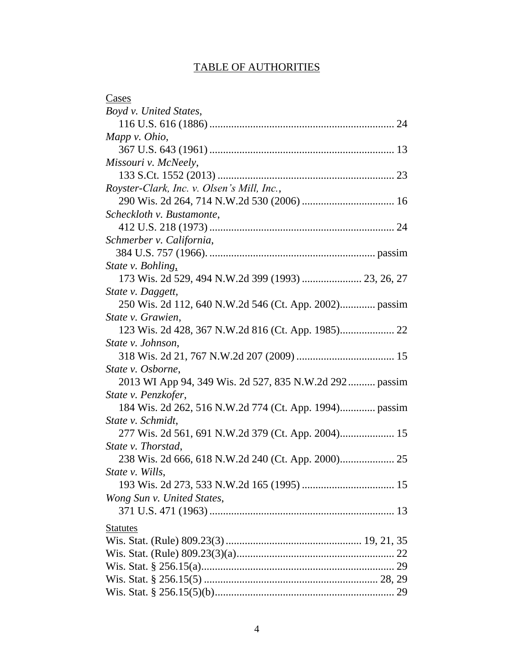# TABLE OF AUTHORITIES

| Cases                                                  |
|--------------------------------------------------------|
| Boyd v. United States,                                 |
|                                                        |
| Mapp $\nu$ . Ohio,                                     |
|                                                        |
| Missouri v. McNeely,                                   |
|                                                        |
| Royster-Clark, Inc. v. Olsen's Mill, Inc.,             |
|                                                        |
| Scheckloth v. Bustamonte,                              |
|                                                        |
| Schmerber v. California,                               |
|                                                        |
| State v. Bohling,                                      |
| 173 Wis. 2d 529, 494 N.W.2d 399 (1993)  23, 26, 27     |
| State v. Daggett,                                      |
|                                                        |
| State v. Grawien,                                      |
|                                                        |
| State v. Johnson,                                      |
|                                                        |
| State v. Osborne,                                      |
| 2013 WI App 94, 349 Wis. 2d 527, 835 N.W.2d 292 passim |
| State v. Penzkofer,                                    |
| 184 Wis. 2d 262, 516 N.W.2d 774 (Ct. App. 1994) passim |
| State v. Schmidt,                                      |
|                                                        |
| State v. Thorstad,                                     |
|                                                        |
| State v. Wills,                                        |
|                                                        |
| Wong Sun v. United States,                             |
|                                                        |
| <b>Statutes</b>                                        |
|                                                        |
|                                                        |
|                                                        |
|                                                        |
|                                                        |
|                                                        |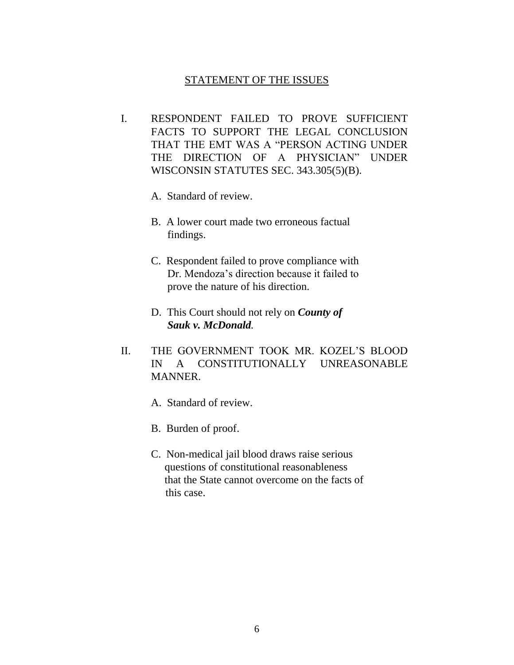### STATEMENT OF THE ISSUES

- I. RESPONDENT FAILED TO PROVE SUFFICIENT FACTS TO SUPPORT THE LEGAL CONCLUSION THAT THE EMT WAS A "PERSON ACTING UNDER THE DIRECTION OF A PHYSICIAN" UNDER WISCONSIN STATUTES SEC. 343.305(5)(B).
	- A. Standard of review.
	- B. A lower court made two erroneous factual findings.
	- C. Respondent failed to prove compliance with Dr. Mendoza's direction because it failed to prove the nature of his direction.
	- D. This Court should not rely on *County of*  *Sauk v. McDonald.*
- II. THE GOVERNMENT TOOK MR. KOZEL'S BLOOD IN A CONSTITUTIONALLY UNREASONABLE MANNER.
	- A. Standard of review.
	- B. Burden of proof.
	- C. Non-medical jail blood draws raise serious questions of constitutional reasonableness that the State cannot overcome on the facts of this case.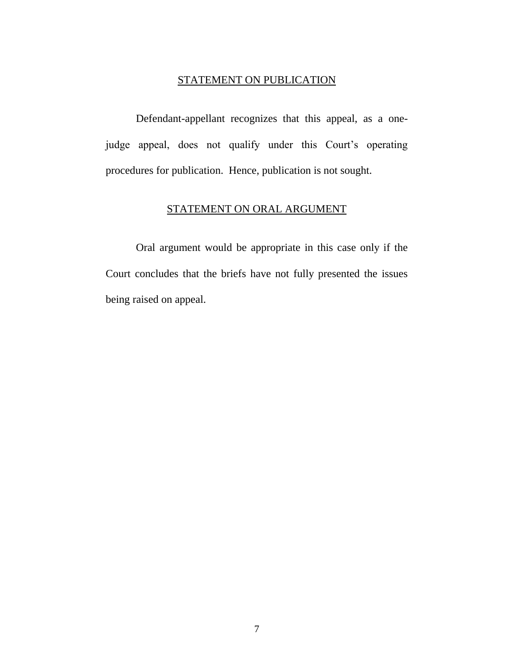## STATEMENT ON PUBLICATION

Defendant-appellant recognizes that this appeal, as a onejudge appeal, does not qualify under this Court's operating procedures for publication. Hence, publication is not sought.

# STATEMENT ON ORAL ARGUMENT

Oral argument would be appropriate in this case only if the Court concludes that the briefs have not fully presented the issues being raised on appeal.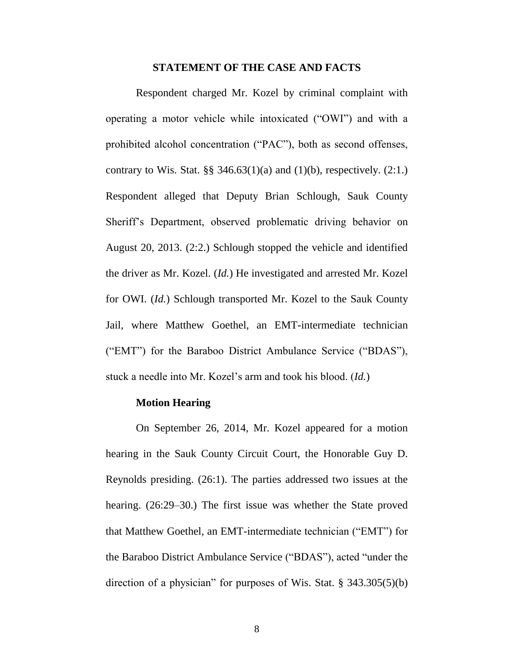#### **STATEMENT OF THE CASE AND FACTS**

Respondent charged Mr. Kozel by criminal complaint with operating a motor vehicle while intoxicated ("OWI") and with a prohibited alcohol concentration ("PAC"), both as second offenses, contrary to Wis. Stat.  $\S$  346.63(1)(a) and (1)(b), respectively. (2:1.) Respondent alleged that Deputy Brian Schlough, Sauk County Sheriff's Department, observed problematic driving behavior on August 20, 2013. (2:2.) Schlough stopped the vehicle and identified the driver as Mr. Kozel. (*Id.*) He investigated and arrested Mr. Kozel for OWI. (*Id.*) Schlough transported Mr. Kozel to the Sauk County Jail, where Matthew Goethel, an EMT-intermediate technician ("EMT") for the Baraboo District Ambulance Service ("BDAS"), stuck a needle into Mr. Kozel's arm and took his blood. (*Id.*)

### **Motion Hearing**

On September 26, 2014, Mr. Kozel appeared for a motion hearing in the Sauk County Circuit Court, the Honorable Guy D. Reynolds presiding. (26:1). The parties addressed two issues at the hearing. (26:29–30.) The first issue was whether the State proved that Matthew Goethel, an EMT-intermediate technician ("EMT") for the Baraboo District Ambulance Service ("BDAS"), acted "under the direction of a physician" for purposes of Wis. Stat. § 343.305(5)(b)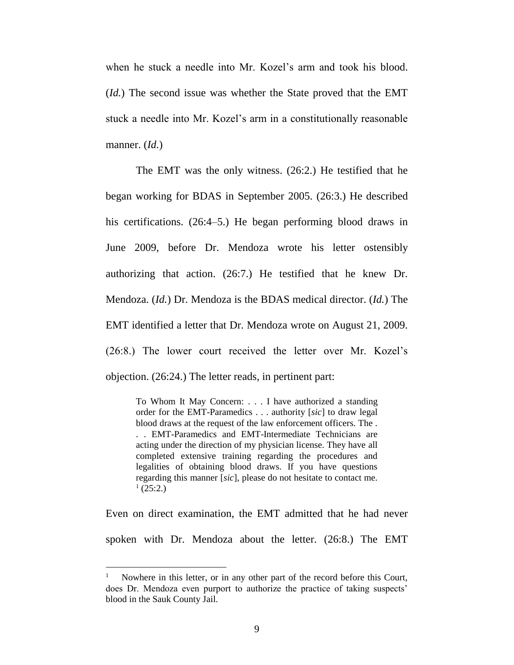when he stuck a needle into Mr. Kozel's arm and took his blood. (*Id.*) The second issue was whether the State proved that the EMT stuck a needle into Mr. Kozel's arm in a constitutionally reasonable manner. (*Id.*)

The EMT was the only witness. (26:2.) He testified that he began working for BDAS in September 2005. (26:3.) He described his certifications. (26:4–5.) He began performing blood draws in June 2009, before Dr. Mendoza wrote his letter ostensibly authorizing that action. (26:7.) He testified that he knew Dr. Mendoza. (*Id.*) Dr. Mendoza is the BDAS medical director. (*Id.*) The EMT identified a letter that Dr. Mendoza wrote on August 21, 2009. (26:8.) The lower court received the letter over Mr. Kozel's objection. (26:24.) The letter reads, in pertinent part:

To Whom It May Concern: . . . I have authorized a standing order for the EMT-Paramedics . . . authority [*sic*] to draw legal blood draws at the request of the law enforcement officers. The . . . EMT-Paramedics and EMT-Intermediate Technicians are acting under the direction of my physician license. They have all completed extensive training regarding the procedures and legalities of obtaining blood draws. If you have questions regarding this manner [*sic*], please do not hesitate to contact me.  $^{1}$  (25:2.)

Even on direct examination, the EMT admitted that he had never spoken with Dr. Mendoza about the letter. (26:8.) The EMT

 $\overline{a}$ 

<sup>1</sup> Nowhere in this letter, or in any other part of the record before this Court, does Dr. Mendoza even purport to authorize the practice of taking suspects' blood in the Sauk County Jail.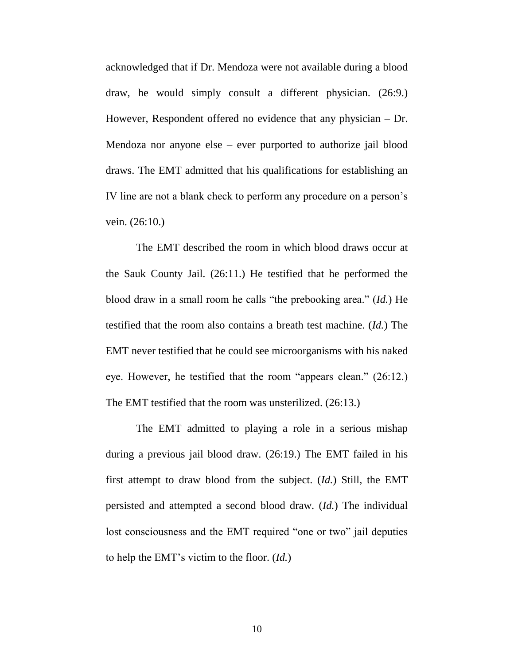acknowledged that if Dr. Mendoza were not available during a blood draw, he would simply consult a different physician. (26:9.) However, Respondent offered no evidence that any physician – Dr. Mendoza nor anyone else – ever purported to authorize jail blood draws. The EMT admitted that his qualifications for establishing an IV line are not a blank check to perform any procedure on a person's vein. (26:10.)

The EMT described the room in which blood draws occur at the Sauk County Jail. (26:11.) He testified that he performed the blood draw in a small room he calls "the prebooking area." (*Id.*) He testified that the room also contains a breath test machine. (*Id.*) The EMT never testified that he could see microorganisms with his naked eye. However, he testified that the room "appears clean." (26:12.) The EMT testified that the room was unsterilized. (26:13.)

The EMT admitted to playing a role in a serious mishap during a previous jail blood draw. (26:19.) The EMT failed in his first attempt to draw blood from the subject. (*Id.*) Still, the EMT persisted and attempted a second blood draw. (*Id.*) The individual lost consciousness and the EMT required "one or two" jail deputies to help the EMT's victim to the floor. (*Id.*)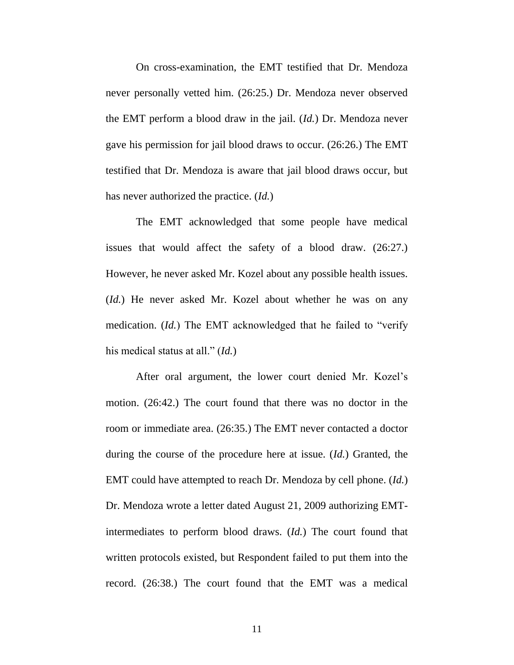On cross-examination, the EMT testified that Dr. Mendoza never personally vetted him. (26:25.) Dr. Mendoza never observed the EMT perform a blood draw in the jail. (*Id.*) Dr. Mendoza never gave his permission for jail blood draws to occur. (26:26.) The EMT testified that Dr. Mendoza is aware that jail blood draws occur, but has never authorized the practice. (*Id.*)

The EMT acknowledged that some people have medical issues that would affect the safety of a blood draw. (26:27.) However, he never asked Mr. Kozel about any possible health issues. (*Id.*) He never asked Mr. Kozel about whether he was on any medication. (*Id.*) The EMT acknowledged that he failed to "verify his medical status at all." (*Id.*)

After oral argument, the lower court denied Mr. Kozel's motion. (26:42.) The court found that there was no doctor in the room or immediate area. (26:35.) The EMT never contacted a doctor during the course of the procedure here at issue. (*Id.*) Granted, the EMT could have attempted to reach Dr. Mendoza by cell phone. (*Id.*) Dr. Mendoza wrote a letter dated August 21, 2009 authorizing EMTintermediates to perform blood draws. (*Id.*) The court found that written protocols existed, but Respondent failed to put them into the record. (26:38.) The court found that the EMT was a medical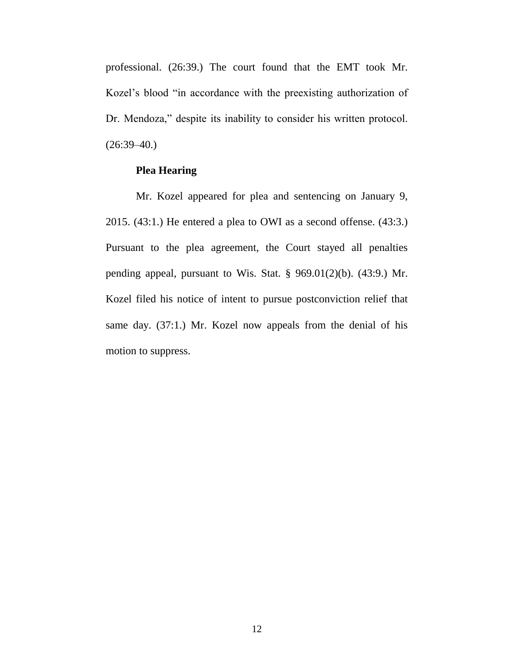professional. (26:39.) The court found that the EMT took Mr. Kozel's blood "in accordance with the preexisting authorization of Dr. Mendoza," despite its inability to consider his written protocol.  $(26:39-40)$ 

### **Plea Hearing**

Mr. Kozel appeared for plea and sentencing on January 9, 2015. (43:1.) He entered a plea to OWI as a second offense. (43:3.) Pursuant to the plea agreement, the Court stayed all penalties pending appeal, pursuant to Wis. Stat. § 969.01(2)(b). (43:9.) Mr. Kozel filed his notice of intent to pursue postconviction relief that same day. (37:1.) Mr. Kozel now appeals from the denial of his motion to suppress.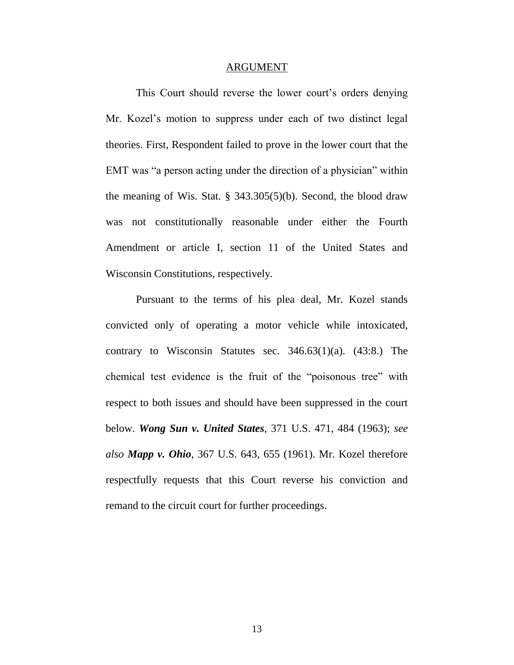#### ARGUMENT

This Court should reverse the lower court's orders denying Mr. Kozel's motion to suppress under each of two distinct legal theories. First, Respondent failed to prove in the lower court that the EMT was "a person acting under the direction of a physician" within the meaning of Wis. Stat. § 343.305(5)(b). Second, the blood draw was not constitutionally reasonable under either the Fourth Amendment or article I, section 11 of the United States and Wisconsin Constitutions, respectively.

Pursuant to the terms of his plea deal, Mr. Kozel stands convicted only of operating a motor vehicle while intoxicated, contrary to Wisconsin Statutes sec. 346.63(1)(a). (43:8.) The chemical test evidence is the fruit of the "poisonous tree" with respect to both issues and should have been suppressed in the court below. *Wong Sun v. United States*, 371 U.S. 471, 484 (1963); *see also Mapp v. Ohio*, 367 U.S. 643, 655 (1961). Mr. Kozel therefore respectfully requests that this Court reverse his conviction and remand to the circuit court for further proceedings.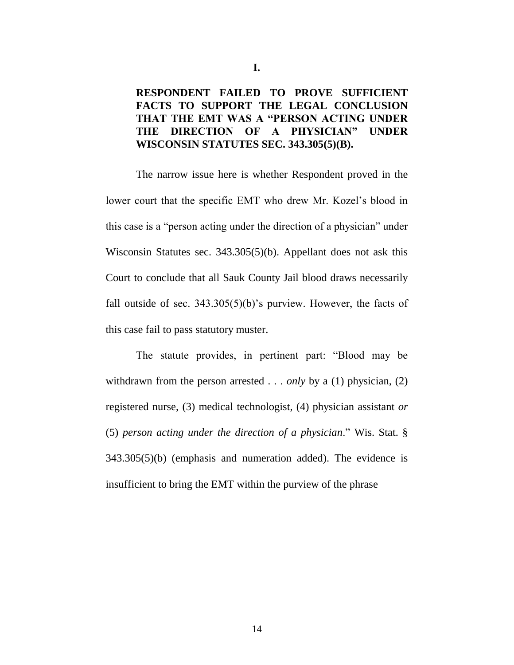# **RESPONDENT FAILED TO PROVE SUFFICIENT FACTS TO SUPPORT THE LEGAL CONCLUSION THAT THE EMT WAS A "PERSON ACTING UNDER THE DIRECTION OF A PHYSICIAN" UNDER WISCONSIN STATUTES SEC. 343.305(5)(B).**

The narrow issue here is whether Respondent proved in the lower court that the specific EMT who drew Mr. Kozel's blood in this case is a "person acting under the direction of a physician" under Wisconsin Statutes sec. 343.305(5)(b). Appellant does not ask this Court to conclude that all Sauk County Jail blood draws necessarily fall outside of sec.  $343.305(5)(b)$ 's purview. However, the facts of this case fail to pass statutory muster.

The statute provides, in pertinent part: "Blood may be withdrawn from the person arrested . . . *only* by a (1) physician, (2) registered nurse, (3) medical technologist, (4) physician assistant *or*  (5) *person acting under the direction of a physician*." Wis. Stat. § 343.305(5)(b) (emphasis and numeration added). The evidence is insufficient to bring the EMT within the purview of the phrase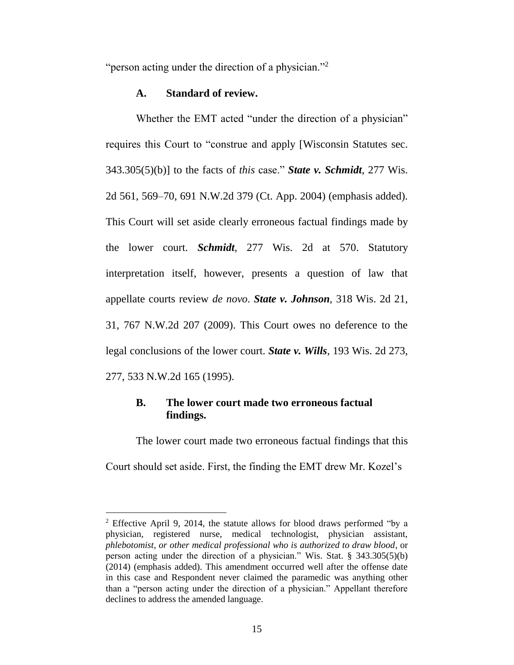"person acting under the direction of a physician."<sup>2</sup>

#### **A. Standard of review.**

Whether the EMT acted "under the direction of a physician" requires this Court to "construe and apply [Wisconsin Statutes sec. 343.305(5)(b)] to the facts of *this* case." *State v. Schmidt*, 277 Wis. 2d 561, 569–70, 691 N.W.2d 379 (Ct. App. 2004) (emphasis added). This Court will set aside clearly erroneous factual findings made by the lower court. *Schmidt*, 277 Wis. 2d at 570. Statutory interpretation itself, however, presents a question of law that appellate courts review *de novo*. *State v. Johnson*, 318 Wis. 2d 21, 31, 767 N.W.2d 207 (2009). This Court owes no deference to the legal conclusions of the lower court. *State v. Wills*, 193 Wis. 2d 273, 277, 533 N.W.2d 165 (1995).

## **B. The lower court made two erroneous factual findings.**

The lower court made two erroneous factual findings that this Court should set aside. First, the finding the EMT drew Mr. Kozel's

 $\overline{a}$ 

<sup>2</sup> Effective April 9, 2014, the statute allows for blood draws performed "by a physician, registered nurse, medical technologist, physician assistant, *phlebotomist, or other medical professional who is authorized to draw blood*, or person acting under the direction of a physician." Wis. Stat. § 343.305(5)(b) (2014) (emphasis added). This amendment occurred well after the offense date in this case and Respondent never claimed the paramedic was anything other than a "person acting under the direction of a physician." Appellant therefore declines to address the amended language.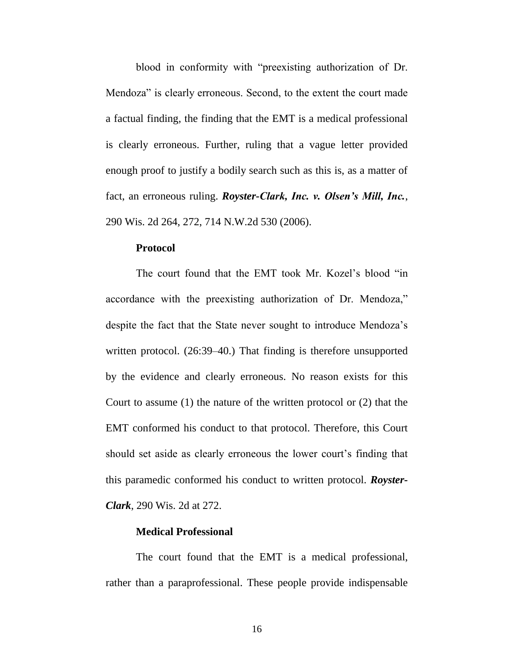blood in conformity with "preexisting authorization of Dr. Mendoza" is clearly erroneous. Second, to the extent the court made a factual finding, the finding that the EMT is a medical professional is clearly erroneous. Further, ruling that a vague letter provided enough proof to justify a bodily search such as this is, as a matter of fact, an erroneous ruling. *Royster-Clark, Inc. v. Olsen's Mill, Inc.*, 290 Wis. 2d 264, 272, 714 N.W.2d 530 (2006).

#### **Protocol**

The court found that the EMT took Mr. Kozel's blood "in accordance with the preexisting authorization of Dr. Mendoza," despite the fact that the State never sought to introduce Mendoza's written protocol. (26:39–40.) That finding is therefore unsupported by the evidence and clearly erroneous. No reason exists for this Court to assume (1) the nature of the written protocol or (2) that the EMT conformed his conduct to that protocol. Therefore, this Court should set aside as clearly erroneous the lower court's finding that this paramedic conformed his conduct to written protocol. *Royster-Clark*, 290 Wis. 2d at 272.

### **Medical Professional**

The court found that the EMT is a medical professional, rather than a paraprofessional. These people provide indispensable

16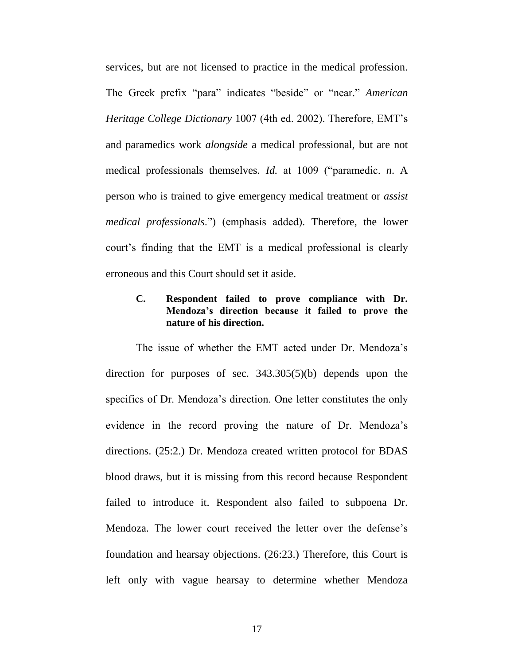services, but are not licensed to practice in the medical profession. The Greek prefix "para" indicates "beside" or "near." *American Heritage College Dictionary* 1007 (4th ed. 2002). Therefore, EMT's and paramedics work *alongside* a medical professional, but are not medical professionals themselves. *Id.* at 1009 ("paramedic. *n*. A person who is trained to give emergency medical treatment or *assist medical professionals*.") (emphasis added). Therefore, the lower court's finding that the EMT is a medical professional is clearly erroneous and this Court should set it aside.

### **C. Respondent failed to prove compliance with Dr. Mendoza's direction because it failed to prove the nature of his direction.**

The issue of whether the EMT acted under Dr. Mendoza's direction for purposes of sec. 343.305(5)(b) depends upon the specifics of Dr. Mendoza's direction. One letter constitutes the only evidence in the record proving the nature of Dr. Mendoza's directions. (25:2.) Dr. Mendoza created written protocol for BDAS blood draws, but it is missing from this record because Respondent failed to introduce it. Respondent also failed to subpoena Dr. Mendoza. The lower court received the letter over the defense's foundation and hearsay objections. (26:23.) Therefore, this Court is left only with vague hearsay to determine whether Mendoza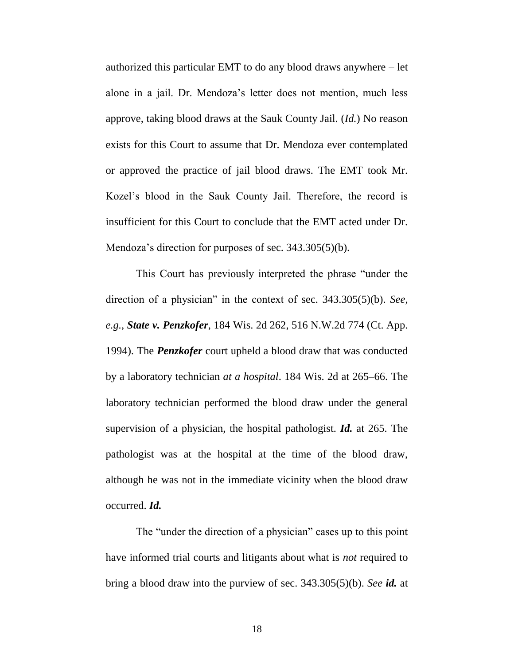authorized this particular EMT to do any blood draws anywhere – let alone in a jail. Dr. Mendoza's letter does not mention, much less approve, taking blood draws at the Sauk County Jail. (*Id.*) No reason exists for this Court to assume that Dr. Mendoza ever contemplated or approved the practice of jail blood draws. The EMT took Mr. Kozel's blood in the Sauk County Jail. Therefore, the record is insufficient for this Court to conclude that the EMT acted under Dr. Mendoza's direction for purposes of sec. 343.305(5)(b).

This Court has previously interpreted the phrase "under the direction of a physician" in the context of sec. 343.305(5)(b). *See*, *e.g.*, *State v. Penzkofer*, 184 Wis. 2d 262, 516 N.W.2d 774 (Ct. App. 1994). The *Penzkofer* court upheld a blood draw that was conducted by a laboratory technician *at a hospital*. 184 Wis. 2d at 265–66. The laboratory technician performed the blood draw under the general supervision of a physician, the hospital pathologist. *Id.* at 265. The pathologist was at the hospital at the time of the blood draw, although he was not in the immediate vicinity when the blood draw occurred. *Id.*

The "under the direction of a physician" cases up to this point have informed trial courts and litigants about what is *not* required to bring a blood draw into the purview of sec. 343.305(5)(b). *See id.* at

18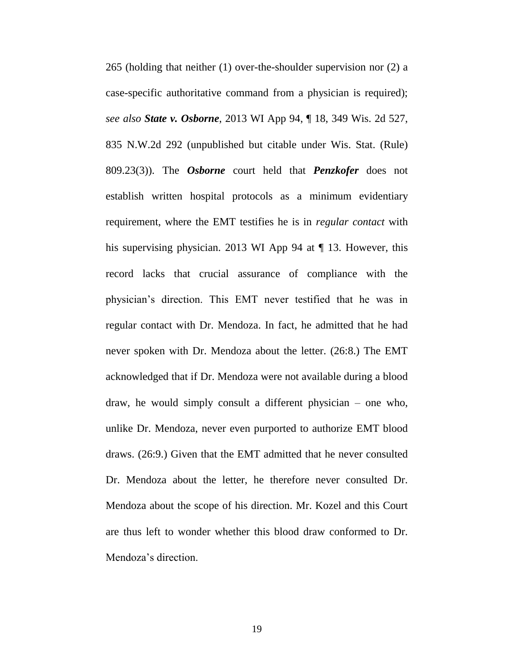265 (holding that neither (1) over-the-shoulder supervision nor (2) a case-specific authoritative command from a physician is required); *see also State v. Osborne*, 2013 WI App 94, ¶ 18, 349 Wis. 2d 527, 835 N.W.2d 292 (unpublished but citable under Wis. Stat. (Rule) 809.23(3)). The *Osborne* court held that *Penzkofer* does not establish written hospital protocols as a minimum evidentiary requirement, where the EMT testifies he is in *regular contact* with his supervising physician. 2013 WI App 94 at  $\P$  13. However, this record lacks that crucial assurance of compliance with the physician's direction. This EMT never testified that he was in regular contact with Dr. Mendoza. In fact, he admitted that he had never spoken with Dr. Mendoza about the letter. (26:8.) The EMT acknowledged that if Dr. Mendoza were not available during a blood draw, he would simply consult a different physician – one who, unlike Dr. Mendoza, never even purported to authorize EMT blood draws. (26:9.) Given that the EMT admitted that he never consulted Dr. Mendoza about the letter, he therefore never consulted Dr. Mendoza about the scope of his direction. Mr. Kozel and this Court are thus left to wonder whether this blood draw conformed to Dr. Mendoza's direction.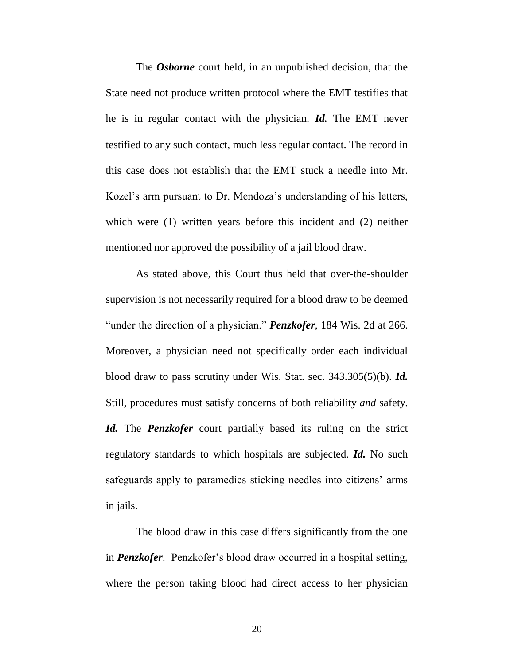The *Osborne* court held, in an unpublished decision, that the State need not produce written protocol where the EMT testifies that he is in regular contact with the physician. *Id.* The EMT never testified to any such contact, much less regular contact. The record in this case does not establish that the EMT stuck a needle into Mr. Kozel's arm pursuant to Dr. Mendoza's understanding of his letters, which were (1) written years before this incident and (2) neither mentioned nor approved the possibility of a jail blood draw.

As stated above, this Court thus held that over-the-shoulder supervision is not necessarily required for a blood draw to be deemed "under the direction of a physician." *Penzkofer*, 184 Wis. 2d at 266. Moreover, a physician need not specifically order each individual blood draw to pass scrutiny under Wis. Stat. sec. 343.305(5)(b). *Id.* Still, procedures must satisfy concerns of both reliability *and* safety. *Id.* The *Penzkofer* court partially based its ruling on the strict regulatory standards to which hospitals are subjected. *Id.* No such safeguards apply to paramedics sticking needles into citizens' arms in jails.

The blood draw in this case differs significantly from the one in *Penzkofer*. Penzkofer's blood draw occurred in a hospital setting, where the person taking blood had direct access to her physician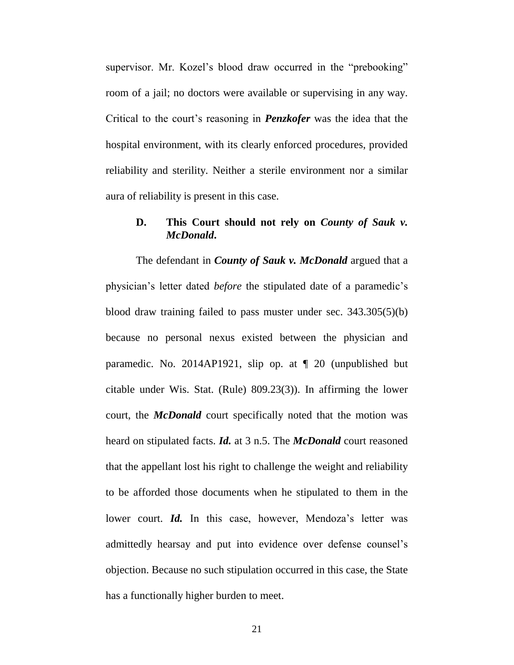supervisor. Mr. Kozel's blood draw occurred in the "prebooking" room of a jail; no doctors were available or supervising in any way. Critical to the court's reasoning in *Penzkofer* was the idea that the hospital environment, with its clearly enforced procedures, provided reliability and sterility. Neither a sterile environment nor a similar aura of reliability is present in this case.

# **D. This Court should not rely on** *County of Sauk v. McDonald***.**

The defendant in *County of Sauk v. McDonald* argued that a physician's letter dated *before* the stipulated date of a paramedic's blood draw training failed to pass muster under sec. 343.305(5)(b) because no personal nexus existed between the physician and paramedic. No. 2014AP1921, slip op. at ¶ 20 (unpublished but citable under Wis. Stat. (Rule) 809.23(3)). In affirming the lower court, the *McDonald* court specifically noted that the motion was heard on stipulated facts. *Id.* at 3 n.5. The *McDonald* court reasoned that the appellant lost his right to challenge the weight and reliability to be afforded those documents when he stipulated to them in the lower court. *Id.* In this case, however, Mendoza's letter was admittedly hearsay and put into evidence over defense counsel's objection. Because no such stipulation occurred in this case, the State has a functionally higher burden to meet.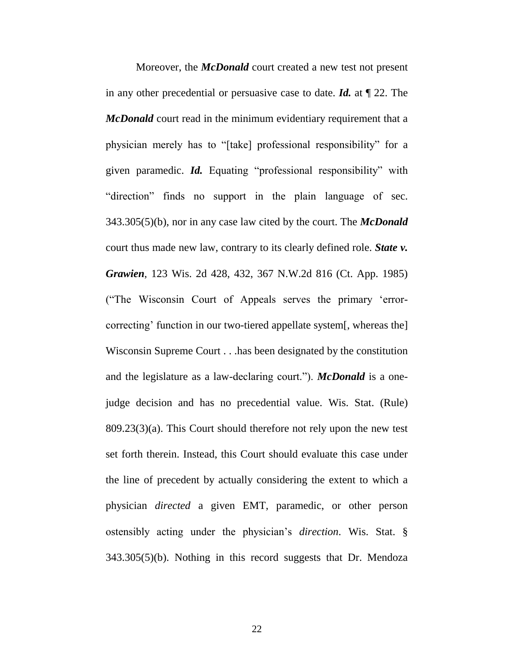Moreover, the *McDonald* court created a new test not present in any other precedential or persuasive case to date. *Id.* at ¶ 22. The *McDonald* court read in the minimum evidentiary requirement that a physician merely has to "[take] professional responsibility" for a given paramedic. *Id.* Equating "professional responsibility" with "direction" finds no support in the plain language of sec. 343.305(5)(b), nor in any case law cited by the court. The *McDonald*  court thus made new law, contrary to its clearly defined role. *State v. Grawien*, 123 Wis. 2d 428, 432, 367 N.W.2d 816 (Ct. App. 1985) ("The Wisconsin Court of Appeals serves the primary 'errorcorrecting' function in our two-tiered appellate system[, whereas the] Wisconsin Supreme Court . . .has been designated by the constitution and the legislature as a law-declaring court."). *McDonald* is a onejudge decision and has no precedential value. Wis. Stat. (Rule) 809.23(3)(a). This Court should therefore not rely upon the new test set forth therein. Instead, this Court should evaluate this case under the line of precedent by actually considering the extent to which a physician *directed* a given EMT, paramedic, or other person ostensibly acting under the physician's *direction*. Wis. Stat. § 343.305(5)(b). Nothing in this record suggests that Dr. Mendoza

22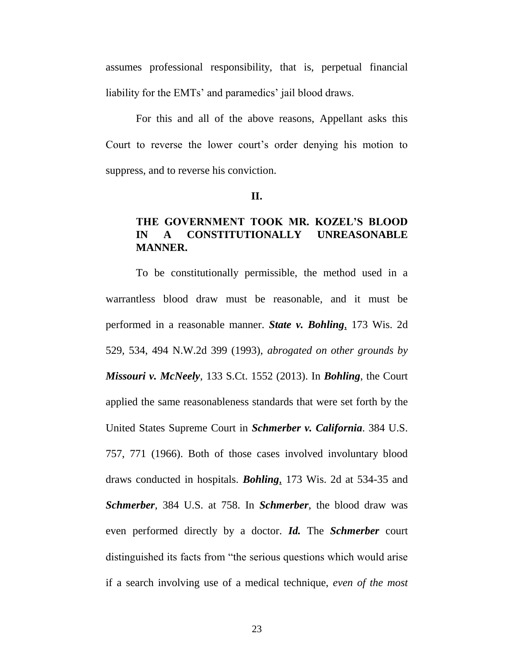assumes professional responsibility, that is, perpetual financial liability for the EMTs' and paramedics' jail blood draws.

For this and all of the above reasons, Appellant asks this Court to reverse the lower court's order denying his motion to suppress, and to reverse his conviction.

#### **II.**

# **THE GOVERNMENT TOOK MR. KOZEL'S BLOOD IN A CONSTITUTIONALLY UNREASONABLE MANNER.**

To be constitutionally permissible, the method used in a warrantless blood draw must be reasonable, and it must be performed in a reasonable manner. *State v. Bohling*, 173 Wis. 2d 529, 534, 494 N.W.2d 399 (1993), *abrogated on other grounds by Missouri v. McNeely*, 133 S.Ct. 1552 (2013). In *Bohling*, the Court applied the same reasonableness standards that were set forth by the United States Supreme Court in *Schmerber v. California*. 384 U.S. 757, 771 (1966). Both of those cases involved involuntary blood draws conducted in hospitals. *Bohling*, 173 Wis. 2d at 534-35 and *Schmerber*, 384 U.S. at 758. In *Schmerber*, the blood draw was even performed directly by a doctor. *Id.* The *Schmerber* court distinguished its facts from "the serious questions which would arise if a search involving use of a medical technique, *even of the most*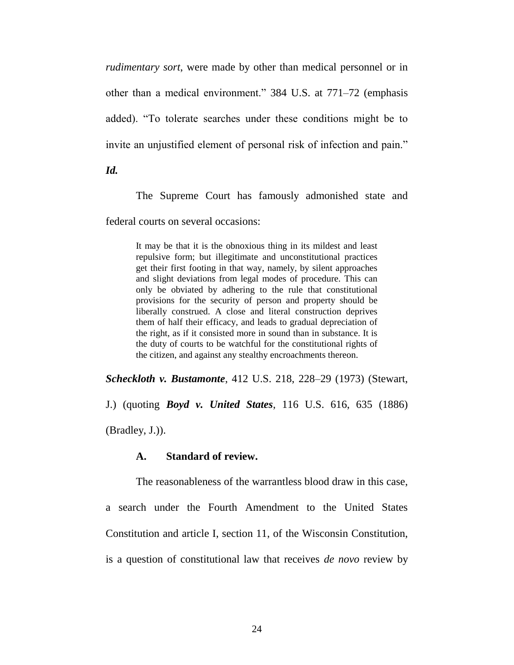*rudimentary sort*, were made by other than medical personnel or in other than a medical environment." 384 U.S. at 771–72 (emphasis added). "To tolerate searches under these conditions might be to invite an unjustified element of personal risk of infection and pain."

*Id.*

The Supreme Court has famously admonished state and

federal courts on several occasions:

It may be that it is the obnoxious thing in its mildest and least repulsive form; but illegitimate and unconstitutional practices get their first footing in that way, namely, by silent approaches and slight deviations from legal modes of procedure. This can only be obviated by adhering to the rule that constitutional provisions for the security of person and property should be liberally construed. A close and literal construction deprives them of half their efficacy, and leads to gradual depreciation of the right, as if it consisted more in sound than in substance. It is the duty of courts to be watchful for the constitutional rights of the citizen, and against any stealthy encroachments thereon.

*Scheckloth v. Bustamonte*, 412 U.S. 218, 228–29 (1973) (Stewart,

J.) (quoting *Boyd v. United States*, 116 U.S. 616, 635 (1886)

(Bradley, J.)).

#### **A. Standard of review.**

The reasonableness of the warrantless blood draw in this case, a search under the Fourth Amendment to the United States Constitution and article I, section 11, of the Wisconsin Constitution, is a question of constitutional law that receives *de novo* review by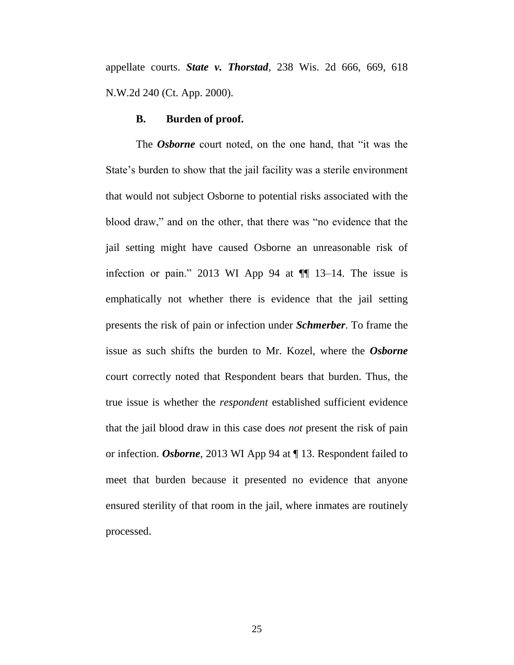appellate courts. *State v. Thorstad*, 238 Wis. 2d 666, 669, 618 N.W.2d 240 (Ct. App. 2000).

#### **B. Burden of proof.**

The *Osborne* court noted, on the one hand, that "it was the State's burden to show that the jail facility was a sterile environment that would not subject Osborne to potential risks associated with the blood draw," and on the other, that there was "no evidence that the jail setting might have caused Osborne an unreasonable risk of infection or pain." 2013 WI App 94 at  $\P$  13–14. The issue is emphatically not whether there is evidence that the jail setting presents the risk of pain or infection under *Schmerber*. To frame the issue as such shifts the burden to Mr. Kozel, where the *Osborne*  court correctly noted that Respondent bears that burden. Thus, the true issue is whether the *respondent* established sufficient evidence that the jail blood draw in this case does *not* present the risk of pain or infection. *Osborne*, 2013 WI App 94 at ¶ 13. Respondent failed to meet that burden because it presented no evidence that anyone ensured sterility of that room in the jail, where inmates are routinely processed.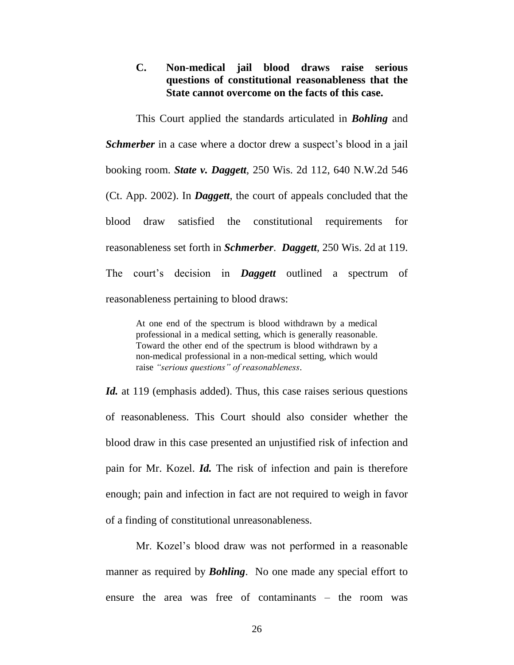**C. Non-medical jail blood draws raise serious questions of constitutional reasonableness that the State cannot overcome on the facts of this case.**

This Court applied the standards articulated in *Bohling* and *Schmerber* in a case where a doctor drew a suspect's blood in a jail booking room. *State v. Daggett,* 250 Wis. 2d 112, 640 N.W.2d 546 (Ct. App. 2002). In *Daggett*, the court of appeals concluded that the blood draw satisfied the constitutional requirements for reasonableness set forth in *Schmerber*. *Daggett*, 250 Wis. 2d at 119. The court's decision in *Daggett* outlined a spectrum of reasonableness pertaining to blood draws:

At one end of the spectrum is blood withdrawn by a medical professional in a medical setting, which is generally reasonable. Toward the other end of the spectrum is blood withdrawn by a non-medical professional in a non-medical setting, which would raise *"serious questions" of reasonableness*.

*Id.* at 119 (emphasis added). Thus, this case raises serious questions of reasonableness. This Court should also consider whether the blood draw in this case presented an unjustified risk of infection and pain for Mr. Kozel. *Id.* The risk of infection and pain is therefore enough; pain and infection in fact are not required to weigh in favor of a finding of constitutional unreasonableness.

Mr. Kozel's blood draw was not performed in a reasonable manner as required by *Bohling*. No one made any special effort to ensure the area was free of contaminants – the room was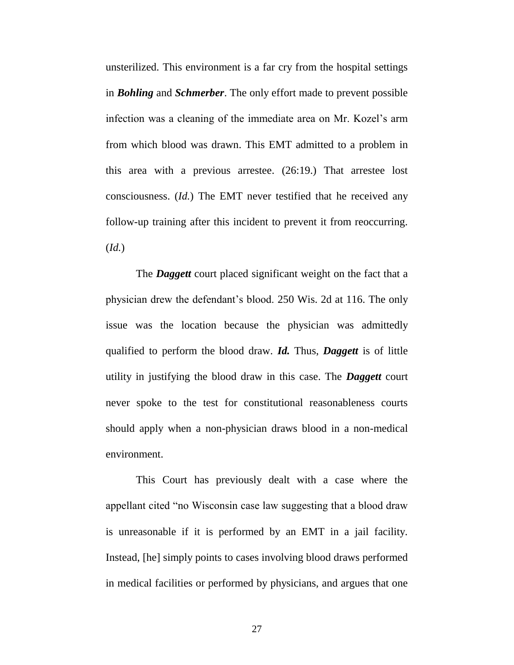unsterilized. This environment is a far cry from the hospital settings in *Bohling* and *Schmerber*. The only effort made to prevent possible infection was a cleaning of the immediate area on Mr. Kozel's arm from which blood was drawn. This EMT admitted to a problem in this area with a previous arrestee. (26:19.) That arrestee lost consciousness. (*Id.*) The EMT never testified that he received any follow-up training after this incident to prevent it from reoccurring. (*Id.*)

The *Daggett* court placed significant weight on the fact that a physician drew the defendant's blood. 250 Wis. 2d at 116. The only issue was the location because the physician was admittedly qualified to perform the blood draw. *Id.* Thus, *Daggett* is of little utility in justifying the blood draw in this case. The *Daggett* court never spoke to the test for constitutional reasonableness courts should apply when a non-physician draws blood in a non-medical environment.

This Court has previously dealt with a case where the appellant cited "no Wisconsin case law suggesting that a blood draw is unreasonable if it is performed by an EMT in a jail facility. Instead, [he] simply points to cases involving blood draws performed in medical facilities or performed by physicians, and argues that one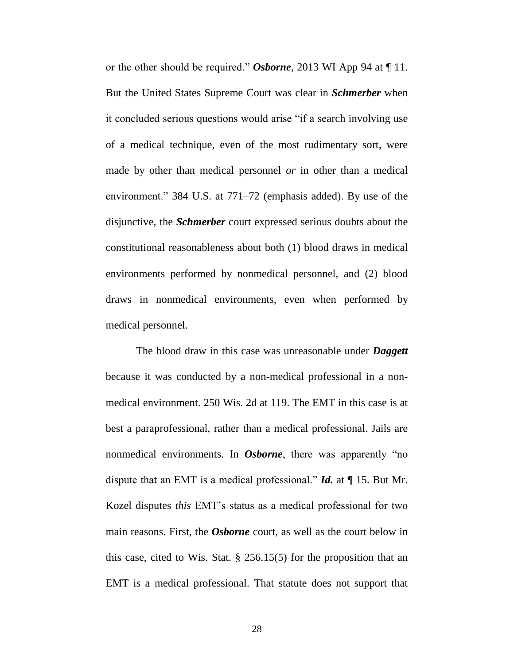or the other should be required." *Osborne*, 2013 WI App 94 at ¶ 11. But the United States Supreme Court was clear in *Schmerber* when it concluded serious questions would arise "if a search involving use of a medical technique, even of the most rudimentary sort, were made by other than medical personnel *or* in other than a medical environment." 384 U.S. at 771–72 (emphasis added). By use of the disjunctive, the *Schmerber* court expressed serious doubts about the constitutional reasonableness about both (1) blood draws in medical environments performed by nonmedical personnel, and (2) blood draws in nonmedical environments, even when performed by medical personnel.

The blood draw in this case was unreasonable under *Daggett* because it was conducted by a non-medical professional in a nonmedical environment. 250 Wis. 2d at 119. The EMT in this case is at best a paraprofessional, rather than a medical professional. Jails are nonmedical environments. In *Osborne*, there was apparently "no dispute that an EMT is a medical professional." *Id.* at ¶ 15. But Mr. Kozel disputes *this* EMT's status as a medical professional for two main reasons. First, the *Osborne* court, as well as the court below in this case, cited to Wis. Stat.  $\S$  256.15(5) for the proposition that an EMT is a medical professional. That statute does not support that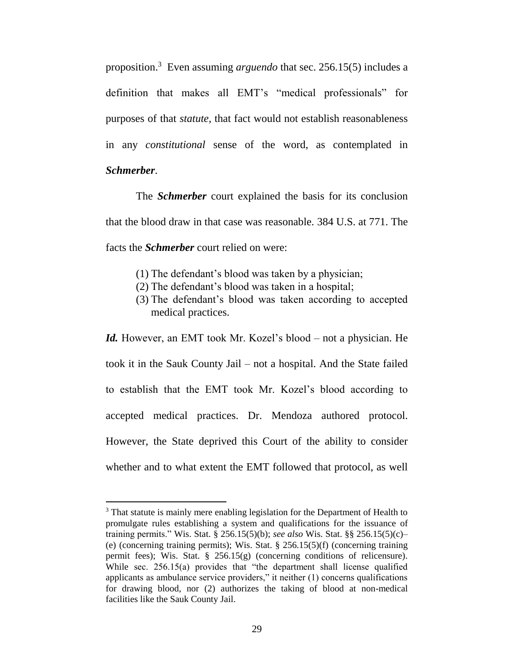proposition.<sup>3</sup> Even assuming *arguendo* that sec. 256.15(5) includes a definition that makes all EMT's "medical professionals" for purposes of that *statute*, that fact would not establish reasonableness in any *constitutional* sense of the word, as contemplated in *Schmerber*.

The *Schmerber* court explained the basis for its conclusion that the blood draw in that case was reasonable. 384 U.S. at 771. The facts the *Schmerber* court relied on were:

- (1) The defendant's blood was taken by a physician;
- (2) The defendant's blood was taken in a hospital;
- (3) The defendant's blood was taken according to accepted medical practices.

*Id.* However, an EMT took Mr. Kozel's blood – not a physician. He took it in the Sauk County Jail – not a hospital. And the State failed to establish that the EMT took Mr. Kozel's blood according to accepted medical practices. Dr. Mendoza authored protocol. However, the State deprived this Court of the ability to consider whether and to what extent the EMT followed that protocol, as well

 $\overline{a}$ 

<sup>&</sup>lt;sup>3</sup> That statute is mainly mere enabling legislation for the Department of Health to promulgate rules establishing a system and qualifications for the issuance of training permits." Wis. Stat. § 256.15(5)(b); *see also* Wis. Stat. §§ 256.15(5)(c)– (e) (concerning training permits); Wis. Stat. § 256.15(5)(f) (concerning training permit fees); Wis. Stat.  $\S$  256.15(g) (concerning conditions of relicensure). While sec. 256.15(a) provides that "the department shall license qualified applicants as ambulance service providers," it neither (1) concerns qualifications for drawing blood, nor (2) authorizes the taking of blood at non-medical facilities like the Sauk County Jail.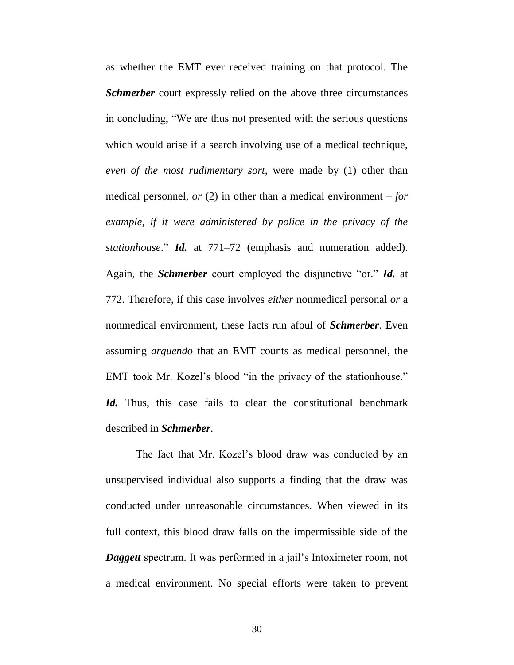as whether the EMT ever received training on that protocol. The *Schmerber* court expressly relied on the above three circumstances in concluding, "We are thus not presented with the serious questions which would arise if a search involving use of a medical technique, *even of the most rudimentary sort*, were made by (1) other than medical personnel, *or* (2) in other than a medical environment – *for example, if it were administered by police in the privacy of the stationhouse*." *Id.* at 771–72 (emphasis and numeration added). Again, the *Schmerber* court employed the disjunctive "or." *Id.* at 772. Therefore, if this case involves *either* nonmedical personal *or* a nonmedical environment, these facts run afoul of *Schmerber*. Even assuming *arguendo* that an EMT counts as medical personnel, the EMT took Mr. Kozel's blood "in the privacy of the stationhouse." Id. Thus, this case fails to clear the constitutional benchmark described in *Schmerber*.

The fact that Mr. Kozel's blood draw was conducted by an unsupervised individual also supports a finding that the draw was conducted under unreasonable circumstances. When viewed in its full context, this blood draw falls on the impermissible side of the *Daggett* spectrum. It was performed in a jail's Intoximeter room, not a medical environment. No special efforts were taken to prevent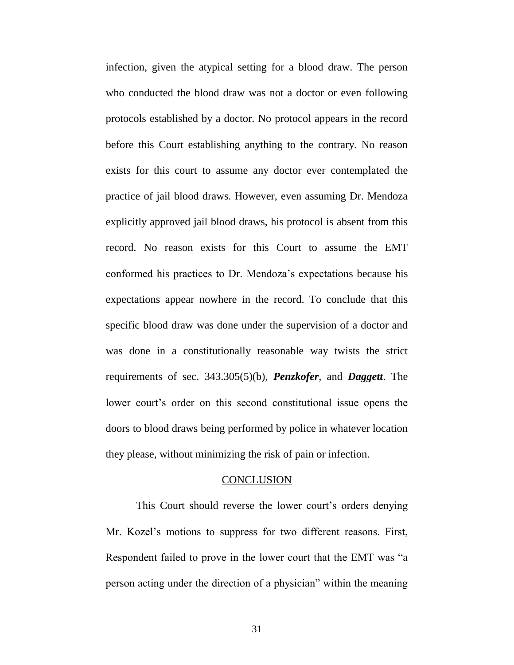infection, given the atypical setting for a blood draw. The person who conducted the blood draw was not a doctor or even following protocols established by a doctor. No protocol appears in the record before this Court establishing anything to the contrary. No reason exists for this court to assume any doctor ever contemplated the practice of jail blood draws. However, even assuming Dr. Mendoza explicitly approved jail blood draws, his protocol is absent from this record. No reason exists for this Court to assume the EMT conformed his practices to Dr. Mendoza's expectations because his expectations appear nowhere in the record. To conclude that this specific blood draw was done under the supervision of a doctor and was done in a constitutionally reasonable way twists the strict requirements of sec. 343.305(5)(b), *Penzkofer*, and *Daggett*. The lower court's order on this second constitutional issue opens the doors to blood draws being performed by police in whatever location they please, without minimizing the risk of pain or infection.

### **CONCLUSION**

This Court should reverse the lower court's orders denying Mr. Kozel's motions to suppress for two different reasons. First, Respondent failed to prove in the lower court that the EMT was "a person acting under the direction of a physician" within the meaning

31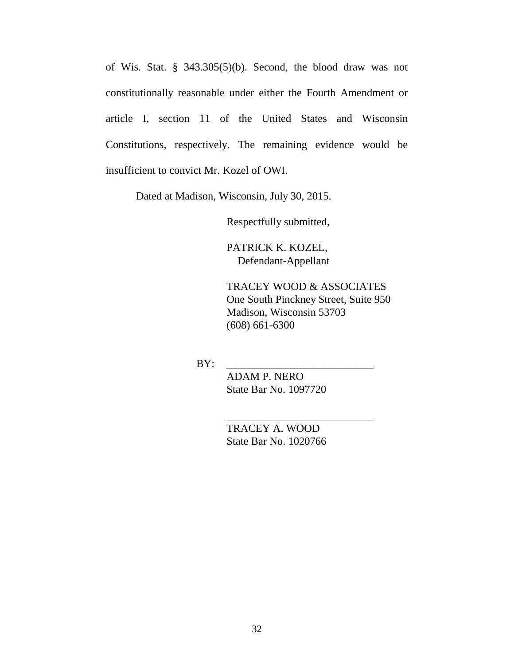of Wis. Stat. § 343.305(5)(b). Second, the blood draw was not constitutionally reasonable under either the Fourth Amendment or article I, section 11 of the United States and Wisconsin Constitutions, respectively. The remaining evidence would be insufficient to convict Mr. Kozel of OWI.

Dated at Madison, Wisconsin, July 30, 2015.

Respectfully submitted,

PATRICK K. KOZEL, Defendant-Appellant

TRACEY WOOD & ASSOCIATES One South Pinckney Street, Suite 950 Madison, Wisconsin 53703 (608) 661-6300

BY: \_\_\_\_\_\_\_\_\_\_\_\_\_\_\_\_\_\_\_\_\_\_\_\_\_\_\_

ADAM P. NERO State Bar No. 1097720

 TRACEY A. WOOD State Bar No. 1020766

\_\_\_\_\_\_\_\_\_\_\_\_\_\_\_\_\_\_\_\_\_\_\_\_\_\_\_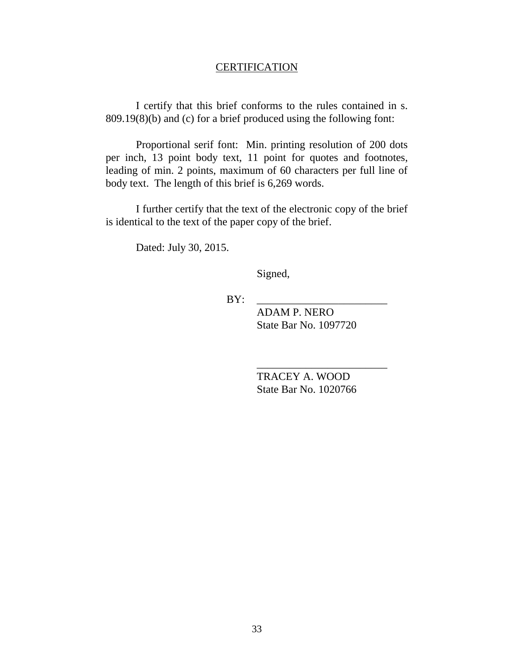### **CERTIFICATION**

I certify that this brief conforms to the rules contained in s. 809.19(8)(b) and (c) for a brief produced using the following font:

Proportional serif font: Min. printing resolution of 200 dots per inch, 13 point body text, 11 point for quotes and footnotes, leading of min. 2 points, maximum of 60 characters per full line of body text. The length of this brief is 6,269 words.

I further certify that the text of the electronic copy of the brief is identical to the text of the paper copy of the brief.

Dated: July 30, 2015.

Signed,

BY: \_\_\_\_\_\_\_\_\_\_\_\_\_\_\_\_\_\_\_\_\_\_\_\_

ADAM P. NERO State Bar No. 1097720

TRACEY A. WOOD State Bar No. 1020766

\_\_\_\_\_\_\_\_\_\_\_\_\_\_\_\_\_\_\_\_\_\_\_\_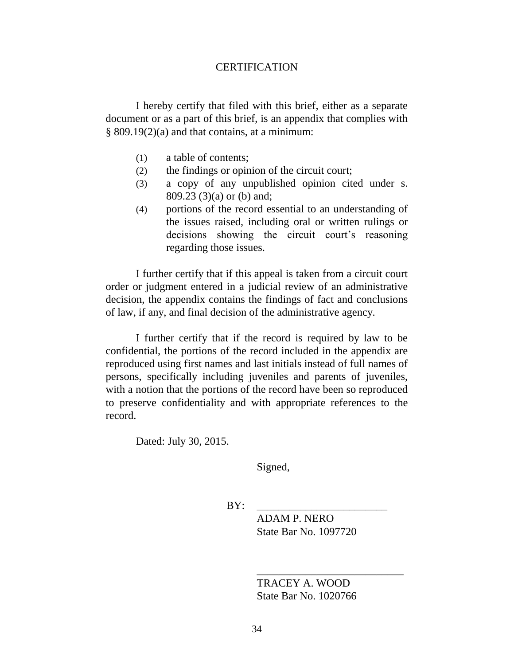### **CERTIFICATION**

I hereby certify that filed with this brief, either as a separate document or as a part of this brief, is an appendix that complies with  $§ 809.19(2)(a)$  and that contains, at a minimum:

- (1) a table of contents;
- (2) the findings or opinion of the circuit court;
- (3) a copy of any unpublished opinion cited under s. 809.23 (3)(a) or (b) and;
- (4) portions of the record essential to an understanding of the issues raised, including oral or written rulings or decisions showing the circuit court's reasoning regarding those issues.

I further certify that if this appeal is taken from a circuit court order or judgment entered in a judicial review of an administrative decision, the appendix contains the findings of fact and conclusions of law, if any, and final decision of the administrative agency.

I further certify that if the record is required by law to be confidential, the portions of the record included in the appendix are reproduced using first names and last initials instead of full names of persons, specifically including juveniles and parents of juveniles, with a notion that the portions of the record have been so reproduced to preserve confidentiality and with appropriate references to the record.

Dated: July 30, 2015.

Signed,

BY: \_\_\_\_\_\_\_\_\_\_\_\_\_\_\_\_\_\_\_\_\_\_\_\_

ADAM P. NERO State Bar No. 1097720

TRACEY A. WOOD State Bar No. 1020766

\_\_\_\_\_\_\_\_\_\_\_\_\_\_\_\_\_\_\_\_\_\_\_\_\_\_\_